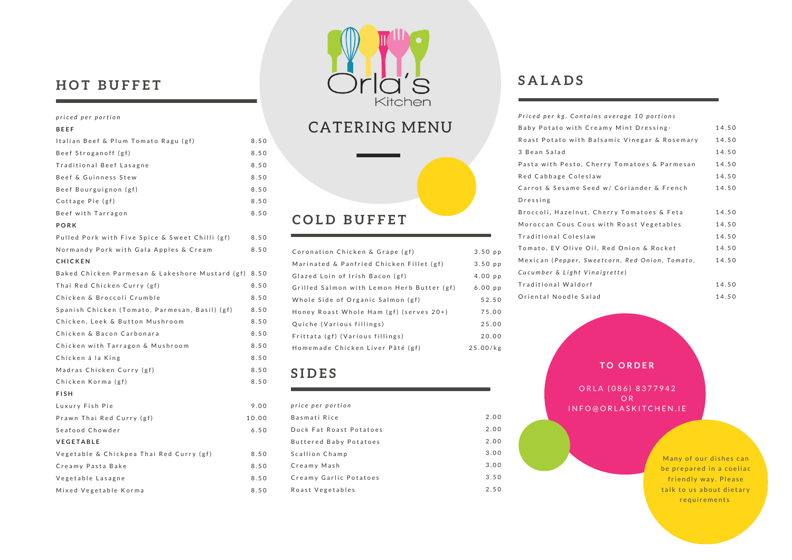### $HOT$  BUFFET

#### *p riced per portion*

| BEEF                                            |       |
|-------------------------------------------------|-------|
| Italian Beef & Plum Tomato Ragu (gf)            | 8.50  |
| Beef Stroganoff (gf)                            | 8.50  |
| Traditional Beef Lasagne                        | 8.50  |
| Beef & Guinness Stew                            | 8.50  |
| Beef Bourguignon (gf)                           | 8.50  |
| Cottage Pie (gf)                                | 8.50  |
| Beef with Tarragon                              | 8.50  |
| PORK                                            |       |
| Pulled Pork with Five Spice & Sweet Chilli (gf) | 8.50  |
| Normandy Pork with Gala Apples & Cream          | 8.50  |
| CHICKEN                                         |       |
| Baked Chicken Parmesan & Lakeshore Mustard (gf) | 8.50  |
| Thai Red Chicken Curry (gf)                     | 8.50  |
| Chicken & Broccoli Crumble                      | 8.50  |
| Spanish Chicken (Tomato, Parmesan, Basil) (gf)  | 8.50  |
| Chicken, Leek & Button Mushroom                 | 8.50  |
| Chicken & Bacon Carbonara                       | 8.50  |
| Chicken with Tarragon & Mushroom                | 8.50  |
| Chicken á la King                               | 8.50  |
| Madras Chicken Curry (gf)                       | 8.50  |
| Chicken Korma (gf)                              | 8.50  |
| <b>FISH</b>                                     |       |
| Luxury Fish Pie                                 | 9.00  |
| Prawn Thai Red Curry (gf)                       | 10.00 |
| Seafood Chowder                                 | 6.50  |
| VEGETABLE                                       |       |
| Vegetable & Chickpea Thai Red Curry (gf)        | 8.50  |
| Creamy Pasta Bake                               | 8.50  |
| Vegetable Lasagne                               | 8.50  |
| Mixed Vegetable Korma                           | 8.50  |



### CATERING MENU



| Coronation Chicken & Grape (gf)            | $3.50$ pp |
|--------------------------------------------|-----------|
| Marinated & Panfried Chicken Fillet (gf)   | $3.50$ pp |
| Glazed Loin of Irish Bacon (gf)            | $4.00$ pp |
| Grilled Salmon with Lemon Herb Butter (gf) | $6.00$ pp |
| Whole Side of Organic Salmon (gf)          | 52.50     |
| Honey Roast Whole Ham (gf) (serves 20+)    | 75.00     |
| Quiche (Various fillings)                  | 25.00     |
| Frittata (gf) (Various fillings)           | 20.00     |
| Homemade Chicken Liver Pâté (gf)           | 25.00/kg  |

### **S I D E S**

| price per portion       |      |
|-------------------------|------|
| Basmati Rice            | 2.00 |
| Duck Fat Roast Potatoes | 2.00 |
| Buttered Baby Potatoes  | 2.00 |
| Scallion Champ          | 3.00 |
| Creamy Mash             | 3.00 |
| Creamy Garlic Potatoes  | 3.50 |
| Roast Vegetables        | 250  |

### **S A L A D S**

| Priced per kg. Contains average 10 portions    |       |
|------------------------------------------------|-------|
| Baby Potato with Creamy Mint Dressing.         | 14.50 |
| Roast Potato with Balsamic Vinegar & Rosemary  | 14.50 |
| 3 Bean Salad                                   | 14.50 |
| Pasta with Pesto, Cherry Tomatoes & Parmesan   | 14.50 |
| Red Cabbage Coleslaw                           | 14.50 |
| Carrot & Sesame Seed w/ Coriander & French     | 14.50 |
| Dressing                                       |       |
| Broccoli, Hazelnut, Cherry Tomatoes & Feta     | 14.50 |
| Moroccan Cous Cous with Roast Vegetables       | 14.50 |
| Traditional Coleslaw                           | 14.50 |
| Tomato, EV Olive Oil, Red Onion & Rocket       | 14.50 |
| Mexican (Pepper, Sweetcorn, Red Onion, Tomato, | 14.50 |
| Cucumber & Light Vinaigrette)                  |       |
| Traditional Waldorf                            | 14.50 |
| Oriental Noodle Salad                          | 14.50 |

### **T O O R D E R**

ORLA (086) 8377942 O R I N F O @ O R L A S K I T C H E N . I E

> Many of our dishes can be prepared in a coeliac friendly way. Please talk to us about dietary r e quir e m ents